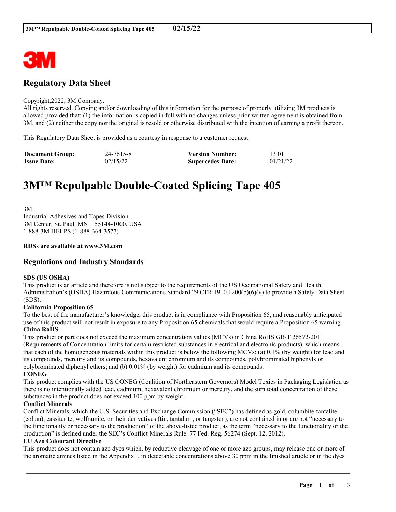

# **Regulatory Data Sheet**

#### Copyright,2022, 3M Company.

All rights reserved. Copying and/or downloading of this information for the purpose of properly utilizing 3M products is allowed provided that: (1) the information is copied in full with no changes unless prior written agreement is obtained from 3M, and (2) neither the copy nor the original is resold or otherwise distributed with the intention of earning a profit thereon.

This Regulatory Data Sheet is provided as a courtesy in response to a customer request.

| <b>Document Group:</b> | 24-7615-8 | <b>Version Number:</b>  | 13.01    |
|------------------------|-----------|-------------------------|----------|
| <b>Issue Date:</b>     | 02/15/22  | <b>Supercedes Date:</b> | 01/21/22 |

# **3M™ Repulpable Double-Coated Splicing Tape 405**

3M Industrial Adhesives and Tapes Division 3M Center, St. Paul, MN 55144-1000, USA 1-888-3M HELPS (1-888-364-3577)

#### **RDSs are available at www.3M.com**

## **Regulations and Industry Standards**

#### **SDS (US OSHA)**

This product is an article and therefore is not subject to the requirements of the US Occupational Safety and Health Administration's (OSHA) Hazardous Communications Standard 29 CFR 1910.1200(b)(6)(v) to provide a Safety Data Sheet (SDS).

#### **California Proposition 65**

To the best of the manufacturer's knowledge, this product is in compliance with Proposition 65, and reasonably anticipated use of this product will not result in exposure to any Proposition 65 chemicals that would require a Proposition 65 warning. **China RoHS**

This product or part does not exceed the maximum concentration values (MCVs) in China RoHS GB/T 26572-2011 (Requirements of Concentration limits for certain restricted substances in electrical and electronic products), which means that each of the homogeneous materials within this product is below the following MCVs: (a) 0.1% (by weight) for lead and its compounds, mercury and its compounds, hexavalent chromium and its compounds, polybrominated biphenyls or polybrominated diphenyl ethers; and (b) 0.01% (by weight) for cadmium and its compounds. **CONEG**

This product complies with the US CONEG (Coalition of Northeastern Governors) Model Toxics in Packaging Legislation as there is no intentionally added lead, cadmium, hexavalent chromium or mercury, and the sum total concentration of these substances in the product does not exceed 100 ppm by weight.

#### **Conflict Minerals**

Conflict Minerals, which the U.S. Securities and Exchange Commission ("SEC") has defined as gold, columbite-tantalite (coltan), cassiterite, wolframite, or their derivatives (tin, tantalum, or tungsten), are not contained in or are not "necessary to the functionality or necessary to the production" of the above-listed product, as the term "necessary to the functionality or the production" is defined under the SEC's Conflict Minerals Rule. 77 Fed. Reg. 56274 (Sept. 12, 2012).

#### **EU Azo Colourant Directive**

This product does not contain azo dyes which, by reductive cleavage of one or more azo groups, may release one or more of the aromatic amines listed in the Appendix I, in detectable concentrations above 30 ppm in the finished article or in the dyes

\_\_\_\_\_\_\_\_\_\_\_\_\_\_\_\_\_\_\_\_\_\_\_\_\_\_\_\_\_\_\_\_\_\_\_\_\_\_\_\_\_\_\_\_\_\_\_\_\_\_\_\_\_\_\_\_\_\_\_\_\_\_\_\_\_\_\_\_\_\_\_\_\_\_\_\_\_\_\_\_\_\_\_\_\_\_\_\_\_\_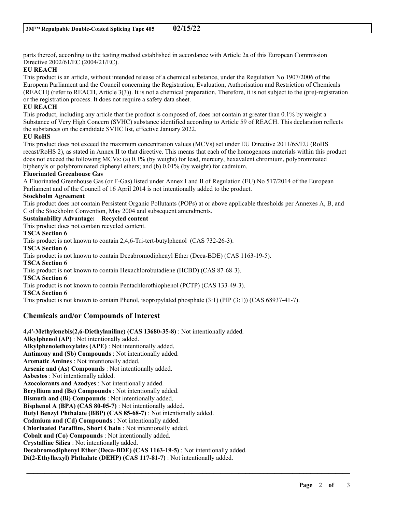parts thereof, according to the testing method established in accordance with Article 2a of this European Commission Directive 2002/61/EC (2004/21/EC).

#### **EU REACH**

This product is an article, without intended release of a chemical substance, under the Regulation No 1907/2006 of the European Parliament and the Council concerning the Registration, Evaluation, Authorisation and Restriction of Chemicals (REACH) (refer to REACH, Article 3(3)). It is not a chemical preparation. Therefore, it is not subject to the (pre)-registration or the registration process. It does not require a safety data sheet.

#### **EU REACH**

This product, including any article that the product is composed of, does not contain at greater than 0.1% by weight a Substance of Very High Concern (SVHC) substance identified according to Article 59 of REACH. This declaration reflects the substances on the candidate SVHC list, effective January 2022.

#### **EU RoHS**

This product does not exceed the maximum concentration values (MCVs) set under EU Directive 2011/65/EU (RoHS recast/RoHS 2), as stated in Annex II to that directive. This means that each of the homogenous materials within this product does not exceed the following MCVs: (a) 0.1% (by weight) for lead, mercury, hexavalent chromium, polybrominated biphenyls or polybrominated diphenyl ethers; and (b) 0.01% (by weight) for cadmium.

#### **Fluorinated Greenhouse Gas**

A Fluorinated Greenhouse Gas (or F-Gas) listed under Annex I and II of Regulation (EU) No 517/2014 of the European Parliament and of the Council of 16 April 2014 is not intentionally added to the product.

#### **Stockholm Agreement**

This product does not contain Persistent Organic Pollutants (POPs) at or above applicable thresholds per Annexes A, B, and C of the Stockholm Convention, May 2004 and subsequent amendments.

\_\_\_\_\_\_\_\_\_\_\_\_\_\_\_\_\_\_\_\_\_\_\_\_\_\_\_\_\_\_\_\_\_\_\_\_\_\_\_\_\_\_\_\_\_\_\_\_\_\_\_\_\_\_\_\_\_\_\_\_\_\_\_\_\_\_\_\_\_\_\_\_\_\_\_\_\_\_\_\_\_\_\_\_\_\_\_\_\_\_

# **Sustainability Advantage: Recycled content**

This product does not contain recycled content.

**TSCA Section 6**

This product is not known to contain 2,4,6-Tri-tert-butylphenol (CAS 732-26-3).

**TSCA Section 6**

This product is not known to contain Decabromodiphenyl Ether (Deca-BDE) (CAS 1163-19-5).

### **TSCA Section 6**

This product is not known to contain Hexachlorobutadiene (HCBD) (CAS 87-68-3).

#### **TSCA Section 6**

This product is not known to contain Pentachlorothiophenol (PCTP) (CAS 133-49-3).

**TSCA Section 6**

This product is not known to contain Phenol, isopropylated phosphate (3:1) (PIP (3:1)) (CAS 68937-41-7).

## **Chemicals and/or Compounds of Interest**

**4,4'-Methylenebis(2,6-Diethylaniline) (CAS 13680-35-8)** : Not intentionally added. **Alkylphenol (AP)** : Not intentionally added. **Alkylphenolethoxylates (APE)** : Not intentionally added. **Antimony and (Sb) Compounds** : Not intentionally added. **Aromatic Amines** : Not intentionally added. **Arsenic and (As) Compounds** : Not intentionally added. **Asbestos** : Not intentionally added. **Azocolorants and Azodyes** : Not intentionally added. **Beryllium and (Be) Compounds** : Not intentionally added. **Bismuth and (Bi) Compounds** : Not intentionally added. **Bisphenol A (BPA) (CAS 80-05-7)** : Not intentionally added. **Butyl Benzyl Phthalate (BBP) (CAS 85-68-7)** : Not intentionally added. **Cadmium and (Cd) Compounds** : Not intentionally added. **Chlorinated Paraffins, Short Chain** : Not intentionally added. **Cobalt and (Co) Compounds** : Not intentionally added. **Crystalline Silica** : Not intentionally added. **Decabromodiphenyl Ether (Deca-BDE) (CAS 1163-19-5)** : Not intentionally added. **Di(2-Ethylhexyl) Phthalate (DEHP) (CAS 117-81-7)** : Not intentionally added.